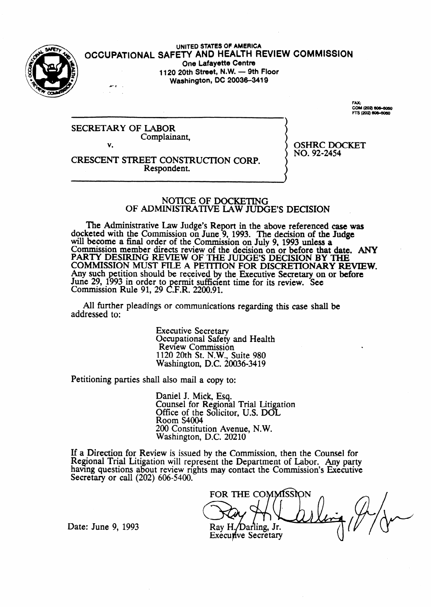

UNITED STATES OF AMERICA<br>OCCUPATIONAL SAFETY AND HEALTH REVIEW COMMISSION **One Lafayette Centre 1120 20th Street, N.W. - 9th Floor** 

**Washington, DC 20036-3419** 

FAY-FAX:<br>COM (202) 606-6060<br>FTS (202) 606-6060

.

OSHRC DOCKET

NO. 92-2454

SECRETARY OF LABOR Complainant, v.

CRESCENT STREET CONSTRUCTION CORP. Respondent.

### NOTICE OF DOCKETING OF ADMINISTRATIVE LAW JUDGE'S DECISION

The Administrative Law Judge's Report in the above referenced case was docketed with the Commission on June 9, 1993. The decision of the Judge will become a final order of the Commission on July 9, 1993 unless **a**  Commission member directs review of the decision on or before **that date. ANY**  PARTY DESIRING REVIEW OF THE JUDGE'S DECISION BY THE COMMISSION MUST FILE A PETITION FOR DISCRETIONARY REVIEW. Any such petition should be received by the Executive Secretary on or **before**  June 29, 1993 in order to permit sufficient time for its review. See Commission Rule 91, 29 C.F.R. 2200.91.

All further pleadings or communications regarding this case shall be addressed to:

> Executive Secretary Occupational Safety and Health Review Commission 1120 20th St. N.W., Suite 980 Washington, D.C. 20036-3419

Petitioning parties shall also mail a copy to:

Daniel J. Mick, Esq. Counsel for Regional Trial Litigation Office of the Solicitor, U.S. DOL Room S4004 200 Constitution Avenue, N.W. Washington, D.C. 20210

If a Direction for Review is issued by the Commission, then the Counsel for Regional Trial Litigation will represent the Department of Labor. **Any** party having questions about review rights may contact the Commission's Executive Secretary or call (202) 606-5400.

FOR THE COMMISSION Ray H./Darling, Jr. **Executive Secretary** 

Date: June 9, 1993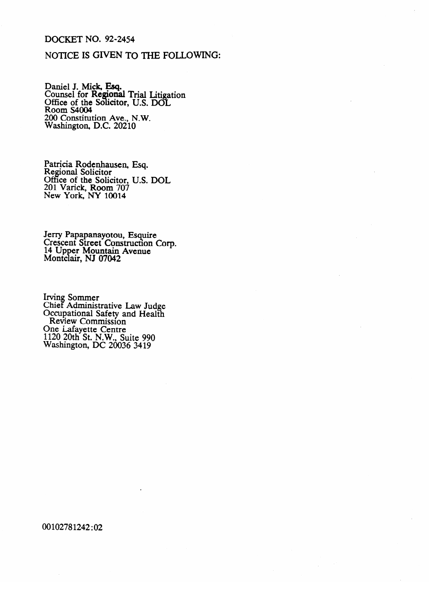## **DOCKET NO. 92-2454**

### NOTICE IS GIVEN TO THE FOLLOWING:

Daniel J. Mick, Esq.<br>Counsel for Regional Trial Litigation<br>Office of the Solicitor, U.S. DOL<br>Room S4004<br>200 Constitution Ave., N.W.<br>Washington, D.C. 20210

Patricia Rodenhausen, Esq.<br>Regional Solicitor<br>Office of the Solicitor, U.S. DOL<br>201 Varick, Room 707<br>New York, NY 10014

Jerry Papapanayotou, Esquire<br>Crescent Street Construction Corp.<br>14 Upper Mountain Avenue<br>Montclair, NJ 07042

Irving Sommer<br>Chief Administrative Law Judge<br>Occupational Safety and Health<br>Review Commission One Lafayette Centre<br>1120 20th St. N.W., Suite 990<br>Washington, DC 20036 3419

00102781242:02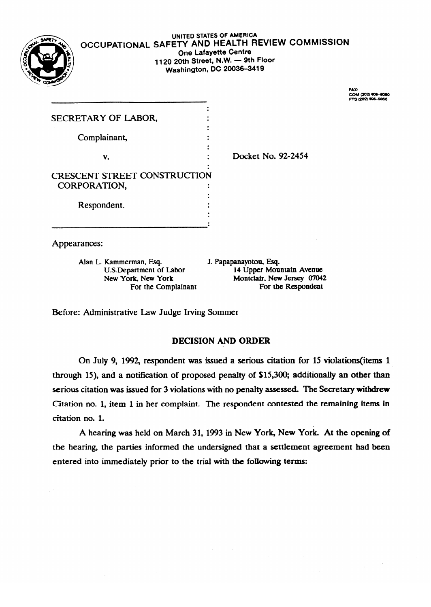

### **UNITED STATES** OF AMERICA **OCCUPATIONAL SAFETT AND HEALTH REVIEW COMMISSION One Lafayette Centre<br>1120 20th Street, N.W. - 9th Floor** 1120 **20th Street, N.W. - 9th Floor Washington, DC 20036-3919**

FAX:<br>COM (202) 908-5050<br>FTS (202) 908-6060

| SECRETARY OF LABOR,                 |  |                    |
|-------------------------------------|--|--------------------|
|                                     |  |                    |
| Complainant,                        |  |                    |
|                                     |  |                    |
| v.                                  |  | Docket No. 92-2454 |
|                                     |  |                    |
| <b>CRESCENT STREET CONSTRUCTION</b> |  |                    |
| CORPORATION,                        |  |                    |
|                                     |  |                    |
| Respondent.                         |  |                    |
|                                     |  |                    |
|                                     |  |                    |

Appearances:

Alan L. Kammerman, Esq. For the Complainant

J. Papapanayotou, Esq. U.S. Department of Labor 14 Upper Mountain Avenue<br>New York, New York 14 Montclair, New Jersey 07042 Montclair, New Jersey 07042<br>For the Respondent

Before: Administrative Law Judge Irving Sommer

# DECISION AND ORDER

On July 9, 1992, respondent was issued a serious citation for 15 violations (items 1 through 15), and a notification of proposed penalty of \$15,300; additionally an other than serious citation was issued for 3 violations with no penalty assessed. The Secretary withdrew Citation no. 1, item 1 in her complaint. The respondent contested the remaining items in  ${\bf c}$  in tation no. 1, it is not example. The remaining item in the remaining items in the remaining items in the remaining items in the remaining items in the remaining in the remaining in the remaining in the remaining

A hearing was held on March 31, 1993 in New York, New York. At the opening of the hearing, the parties informed the undersigned that a settlement agreement had been entered into immediately prior to the trial with the following terms: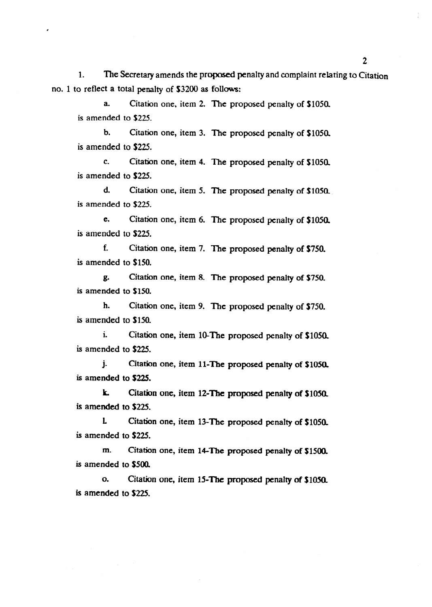1. The Secretary amends the proposed penalty and complaint relating to Citation no. 1 to reflect a total penalty of \$3200 as follows:

a. Citation one, item 2. The proposed penalty of \$1050. is amended to \$225.

b. Citation one, item 3. The proposed penalty of \$1050.<br>is amended to \$225.  $\frac{1}{2}$  amondon to  $\frac{1}{2}$ 

c. Citation one, item 4. The proposed penalty of \$1050.<br>is amended to \$225.

 $\ddotsc$  $\frac{1}{2}$  Citation one, it must be proposed penalty of  $\frac{1}{2}$  in  $\frac{1}{2}$  in  $\frac{1}{2}$  in  $\frac{1}{2}$  in  $\frac{1}{2}$ 

e. Citation one, item 6. The proposed penalty of \$1050. is amended to \$225.

f. Citation one, item 7. The proposed penalty of  $$750$ . is amended to \$150.

g. Citation one, item 8. The proposed penalty of \$750. is amended to \$150.

h. Citation one, item 9. The proposed penalty of \$750. is amended to \$150.

i. Citation one, item 10-The proposed penalty of \$1050. is amended to \$225.

j. Citation one, item 11-The proposed penalty of  $$1050$ .  $\mathbf{A}$  . The **proposed is set of \$225.** 

**k.** Citation one, item 12-The proposed penalty of  $$1050$ . is amended to \$225.

L Citation one, item 13-The proposed penalty of \$1050.  $\alpha$  and  $\alpha$  to  $\beta$  2.The proposed penalty of  $\alpha$  11.

m. Citation one, item 14-The proposed penalty of \$1500.  $m_{\rm c}$  is the proposed person one, it is matter person on  $\sim$ 

o. Citation one, item 15-The proposed penalty of \$1050.  $\overline{\phantom{a}}$